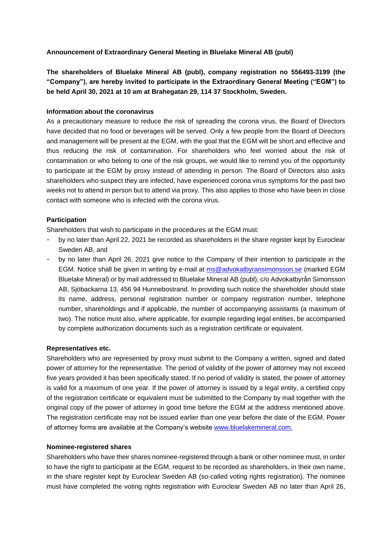# **Announcement of Extraordinary General Meeting in Bluelake Mineral AB (publ)**

**The shareholders of Bluelake Mineral AB (publ), company registration no 556493-3199 (the "Company"), are hereby invited to participate in the Extraordinary General Meeting ("EGM") to be held April 30, 2021 at 10 am at Brahegatan 29, 114 37 Stockholm, Sweden.**

## **Information about the coronavirus**

As a precautionary measure to reduce the risk of spreading the corona virus, the Board of Directors have decided that no food or beverages will be served. Only a few people from the Board of Directors and management will be present at the EGM, with the goal that the EGM will be short and effective and thus reducing the risk of contamination. For shareholders who feel worried about the risk of contamination or who belong to one of the risk groups, we would like to remind you of the opportunity to participate at the EGM by proxy instead of attending in person. The Board of Directors also asks shareholders who suspect they are infected, have experienced corona virus symptoms for the past two weeks not to attend in person but to attend via proxy. This also applies to those who have been in close contact with someone who is infected with the corona virus.

## **Participation**

Shareholders that wish to participate in the procedures at the EGM must:

- by no later than April 22, 2021 be recorded as shareholders in the share register kept by Euroclear Sweden AB, and
- by no later than April 26, 2021 give notice to the Company of their intention to participate in the EGM. Notice shall be given in writing by e-mail at  $ms@advokatbyransimonsson.se$  (marked EGM Bluelake Mineral) or by mail addressed to Bluelake Mineral AB (publ), c/o Advokatbyrån Simonsson AB, Sjöbackarna 13, 456 94 Hunnebostrand. In providing such notice the shareholder should state its name, address, personal registration number or company registration number, telephone number, shareholdings and if applicable, the number of accompanying assistants (a maximum of two). The notice must also, where applicable, for example regarding legal entities, be accompanied by complete authorization documents such as a registration certificate or equivalent.

## **Representatives etc.**

Shareholders who are represented by proxy must submit to the Company a written, signed and dated power of attorney for the representative. The period of validity of the power of attorney may not exceed five years provided it has been specifically stated. If no period of validity is stated, the power of attorney is valid for a maximum of one year. If the power of attorney is issued by a legal entity, a certified copy of the registration certificate or equivalent must be submitted to the Company by mail together with the original copy of the power of attorney in good time before the EGM at the address mentioned above. The registration certificate may not be issued earlier than one year before the date of the EGM. Power of attorney forms are available at the Company's website www.bluelakemineral.com.

## **Nominee-registered shares**

Shareholders who have their shares nominee-registered through a bank or other nominee must, in order to have the right to participate at the EGM, request to be recorded as shareholders, in their own name, in the share register kept by Euroclear Sweden AB (so-called voting rights registration). The nominee must have completed the voting rights registration with Euroclear Sweden AB no later than April 26,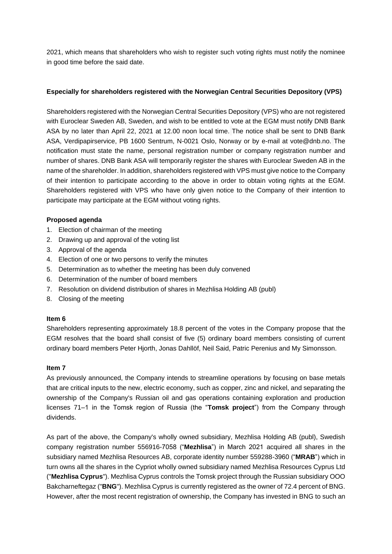2021, which means that shareholders who wish to register such voting rights must notify the nominee in good time before the said date.

# **Especially for shareholders registered with the Norwegian Central Securities Depository (VPS)**

Shareholders registered with the Norwegian Central Securities Depository (VPS) who are not registered with Euroclear Sweden AB, Sweden, and wish to be entitled to vote at the EGM must notify DNB Bank ASA by no later than April 22, 2021 at 12.00 noon local time. The notice shall be sent to DNB Bank ASA, Verdipapirservice, PB 1600 Sentrum, N-0021 Oslo, Norway or by e-mail at vote@dnb.no. The notification must state the name, personal registration number or company registration number and number of shares. DNB Bank ASA will temporarily register the shares with Euroclear Sweden AB in the name of the shareholder. In addition, shareholders registered with VPS must give notice to the Company of their intention to participate according to the above in order to obtain voting rights at the EGM. Shareholders registered with VPS who have only given notice to the Company of their intention to participate may participate at the EGM without voting rights.

## **Proposed agenda**

- 1. Election of chairman of the meeting
- 2. Drawing up and approval of the voting list
- 3. Approval of the agenda
- 4. Election of one or two persons to verify the minutes
- 5. Determination as to whether the meeting has been duly convened
- 6. Determination of the number of board members
- 7. Resolution on dividend distribution of shares in Mezhlisa Holding AB (publ)
- 8. Closing of the meeting

## **Item 6**

Shareholders representing approximately 18.8 percent of the votes in the Company propose that the EGM resolves that the board shall consist of five (5) ordinary board members consisting of current ordinary board members Peter Hjorth, Jonas Dahllöf, Neil Said, Patric Perenius and My Simonsson.

## **Item 7**

As previously announced, the Company intends to streamline operations by focusing on base metals that are critical inputs to the new, electric economy, such as copper, zinc and nickel, and separating the ownership of the Company's Russian oil and gas operations containing exploration and production licenses 71–1 in the Tomsk region of Russia (the "**Tomsk project**") from the Company through dividends.

As part of the above, the Company's wholly owned subsidiary, Mezhlisa Holding AB (publ), Swedish company registration number 556916-7058 ("**Mezhlisa**") in March 2021 acquired all shares in the subsidiary named Mezhlisa Resources AB, corporate identity number 559288-3960 ("**MRAB**") which in turn owns all the shares in the Cypriot wholly owned subsidiary named Mezhlisa Resources Cyprus Ltd ("**Mezhlisa Cyprus**"). Mezhlisa Cyprus controls the Tomsk project through the Russian subsidiary OOO Bakcharneftegaz ("**BNG**"). Mezhlisa Cyprus is currently registered as the owner of 72.4 percent of BNG. However, after the most recent registration of ownership, the Company has invested in BNG to such an